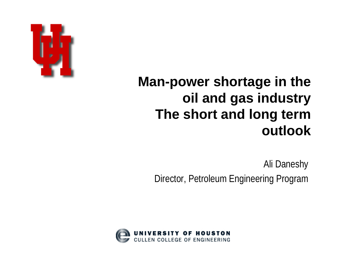

### **Man-power shortage in the oil and gas industry The short and long term outlook**

Ali Daneshy Director, Petroleum Engineering Program

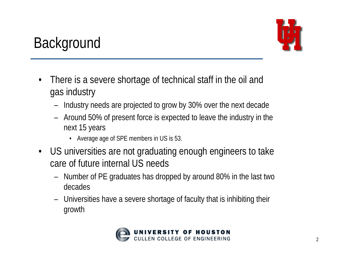

## **Background**

- • There is a severe shortage of technical staff in the oil and gas industry
	- Industry needs are projected to grow by 30% over the next decade
	- – Around 50% of present force is expected to leave the industry in the next 15 years
		- Average age of SPE members in US is 53.
- US universities are not graduating enough engineers to take care of future internal US needs
	- – Number of PE graduates has dropped by around 80% in the last two decades
	- Universities have a severe shortage of faculty that is inhibiting their growth

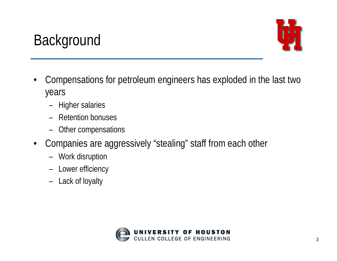## **Background**



- • Compensations for petroleum engineers has exploded in the last two years
	- Higher salaries
	- Retention bonuses
	- Other compensations
- $\bullet$  Companies are aggressively "stealing" staff from each other
	- Work disruption
	- –Lower efficiency
	- –Lack of loyalty

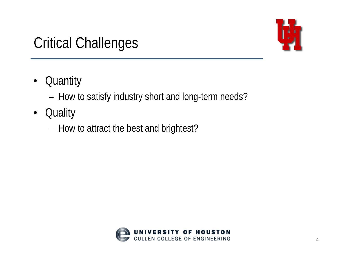## Critical Challenges



- •**Quantity** 
	- –How to satisfy industry short and long-term needs?
- $\bullet$ **Quality** 
	- –How to attract the best and brightest?

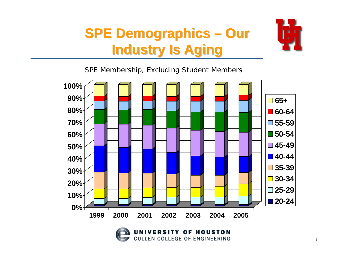## **SPE Demographics – Our Industry Is Aging Industry Is Aging**



*SPE Membership, Excluding Student Members*



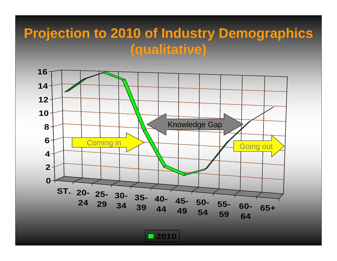#### **Projection to 2010 of Industry Demographics (qualitative)**



**2010**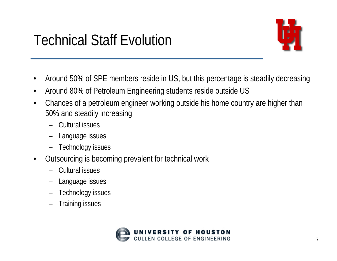## Technical Staff Evolution



- •Around 50% of SPE members reside in US, but this percentage is steadily decreasing
- •Around 80% of Petroleum Engineering students reside outside US
- • Chances of a petroleum engineer working outside his home country are higher than 50% and steadily increasing
	- Cultural issues
	- Language issues
	- Technology issues
- • Outsourcing is becoming prevalent for technical work
	- Cultural issues
	- Language issues
	- Technology issues
	- Training issues

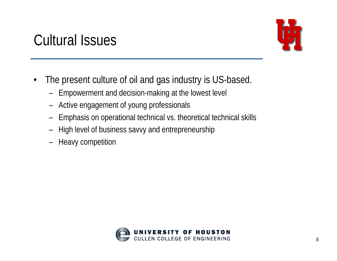#### Cultural Issues



- $\bullet$  The present culture of oil and gas industry is US-based.
	- Empowerment and decision-making at the lowest level
	- Active engagement of young professionals
	- –Emphasis on operational technical vs. theoretical technical skills
	- High level of business savvy and entrepreneurship
	- –Heavy competition

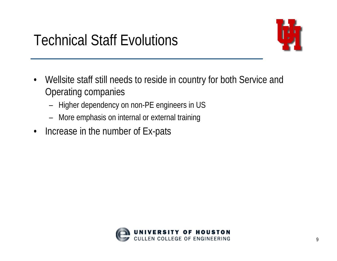

- $\bullet$  Wellsite staff still needs to reside in country for both Service and Operating companies
	- Higher dependency on non-PE engineers in US
	- –More emphasis on internal or external training
- •Increase in the number of Ex-pats

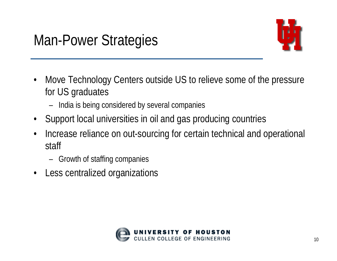

- • Move Technology Centers outside US to relieve some of the pressure for US graduates
	- India is being considered by several companies
- •Support local universities in oil and gas producing countries
- $\bullet$  Increase reliance on out-sourcing for certain technical and operational staff
	- Growth of staffing companies
- $\bullet$ Less centralized organizations

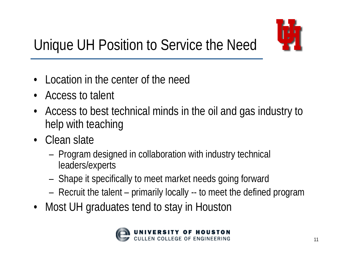

# Unique UH Position to Service the Need

- $\bullet$ Location in the center of the need
- $\bullet$ Access to talent
- Access to best technical minds in the oil and gas industry to help with teaching
- Clean slate
	- – Program designed in collaboration with industry technical leaders/experts
	- –Shape it specifically to meet market needs going forward
	- –Recruit the talent – primarily locally -- to meet the defined program
- Most UH graduates tend to stay in Houston

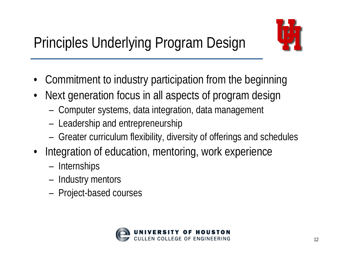



- $\bullet$ Commitment to industry participation from the beginning
- • Next generation focus in all aspects of program design
	- –Computer systems, data integration, data management
	- –Leadership and entrepreneurship
	- –Greater curriculum flexibility, diversity of offerings and schedules
- Integration of education, mentoring, work experience
	- –**Internships**
	- –Industry mentors
	- –Project-based courses